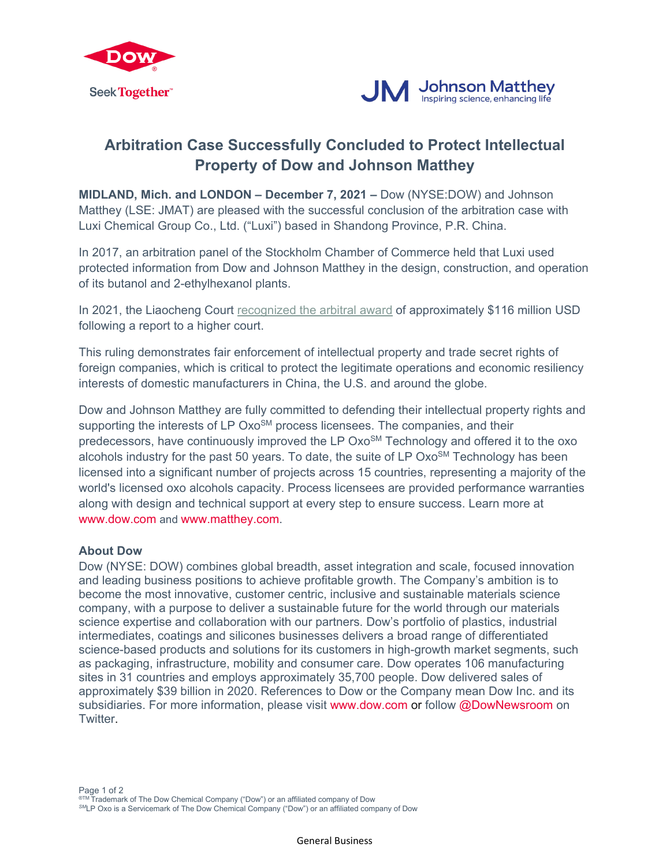



## **Arbitration Case Successfully Concluded to Protect Intellectual Property of Dow and Johnson Matthey**

**MIDLAND, Mich. and LONDON – December 7, 2021 –** Dow (NYSE:DOW) and Johnson Matthey (LSE: JMAT) are pleased with the successful conclusion of the arbitration case with Luxi Chemical Group Co., Ltd. ("Luxi") based in Shandong Province, P.R. China.

In 2017, an arbitration panel of the Stockholm Chamber of Commerce held that Luxi used protected information from Dow and Johnson Matthey in the design, construction, and operation of its butanol and 2-ethylhexanol plants.

In 2021, the Liaocheng Court [recognized the arbitral award](https://www.thecover.cn/news/8030701) of approximately \$116 million USD following a report to a higher court.

This ruling demonstrates fair enforcement of intellectual property and trade secret rights of foreign companies, which is critical to protect the legitimate operations and economic resiliency interests of domestic manufacturers in China, the U.S. and around the globe.

Dow and Johnson Matthey are fully committed to defending their intellectual property rights and supporting the interests of LP Oxo<sup>SM</sup> process licensees. The companies, and their predecessors, have continuously improved the LP Oxo<sup>SM</sup> Technology and offered it to the oxo alcohols industry for the past 50 years. To date, the suite of LP  $Oxo<sup>SM</sup>$  Technology has been licensed into a significant number of projects across 15 countries, representing a majority of the world's licensed oxo alcohols capacity. Process licensees are provided performance warranties along with design and technical support at every step to ensure success. Learn more at [www.dow.com](https://www.dow.com/en-us/market/mkt-chem-mfg-industrial/sub-chem-process-licensing.html) and www.matthey.com.

## **About Dow**

Dow (NYSE: DOW) combines global breadth, asset integration and scale, focused innovation and leading business positions to achieve profitable growth. The Company's ambition is to become the most innovative, customer centric, inclusive and sustainable materials science company, with a purpose to deliver a sustainable future for the world through our materials science expertise and collaboration with our partners. Dow's portfolio of plastics, industrial intermediates, coatings and silicones businesses delivers a broad range of differentiated science-based products and solutions for its customers in high-growth market segments, such as packaging, infrastructure, mobility and consumer care. Dow operates 106 manufacturing sites in 31 countries and employs approximately 35,700 people. Dow delivered sales of approximately \$39 billion in 2020. References to Dow or the Company mean Dow Inc. and its subsidiaries. For more information, please visit [www.dow.com](http://www.dow.com/) or follow [@DowNewsroom](https://twitter.com/DowNewsroom) on Twitter.